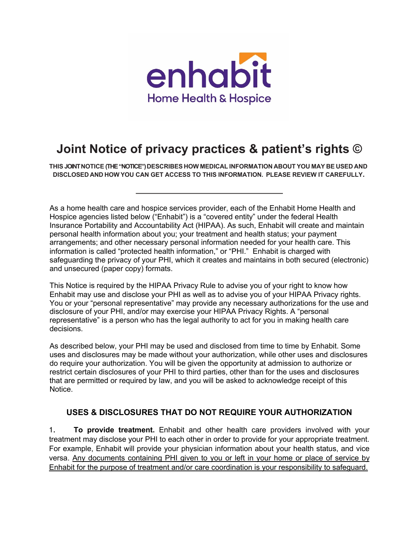

# **Joint Notice of privacy practices & patient's rights ©**

**THIS JOINT NOTICE (THE "NOTICE") DESCRIBES HOW MEDICAL INFORMATION ABOUT YOU MAY BE USED AND DISCLOSED AND HOW YOU CAN GET ACCESS TO THIS INFORMATION. PLEASE REVIEW IT CAREFULLY.**

As a home health care and hospice services provider, each of the Enhabit Home Health and Hospice agencies listed below ("Enhabit") is a "covered entity" under the federal Health Insurance Portability and Accountability Act (HIPAA). As such, Enhabit will create and maintain personal health information about you; your treatment and health status; your payment arrangements; and other necessary personal information needed for your health care. This information is called "protected health information," or "PHI." Enhabit is charged with safeguarding the privacy of your PHI, which it creates and maintains in both secured (electronic) and unsecured (paper copy) formats.

This Notice is required by the HIPAA Privacy Rule to advise you of your right to know how Enhabit may use and disclose your PHI as well as to advise you of your HIPAA Privacy rights. You or your "personal representative" may provide any necessary authorizations for the use and disclosure of your PHI, and/or may exercise your HIPAA Privacy Rights. A "personal representative" is a person who has the legal authority to act for you in making health care decisions.

As described below, your PHI may be used and disclosed from time to time by Enhabit. Some uses and disclosures may be made without your authorization, while other uses and disclosures do require your authorization. You will be given the opportunity at admission to authorize or restrict certain disclosures of your PHI to third parties, other than for the uses and disclosures that are permitted or required by law, and you will be asked to acknowledge receipt of this Notice.

## **USES & DISCLOSURES THAT DO NOT REQUIRE YOUR AUTHORIZATION**

1. **To provide treatment.** Enhabit and other health care providers involved with your treatment may disclose your PHI to each other in order to provide for your appropriate treatment. For example, Enhabit will provide your physician information about your health status, and vice versa. Any documents containing PHI given to you or left in your home or place of service by Enhabit for the purpose of treatment and/or care coordination is your responsibility to safeguard.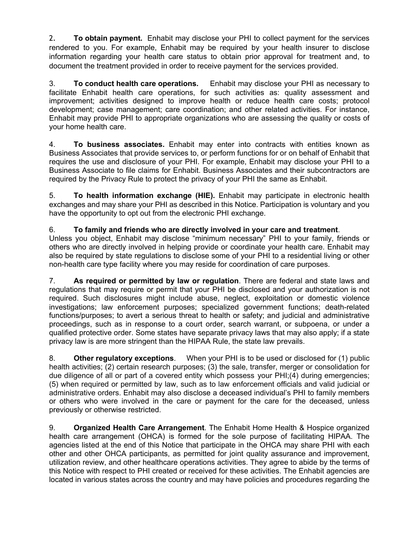2. **To obtain payment.** Enhabit may disclose your PHI to collect payment for the services rendered to you. For example, Enhabit may be required by your health insurer to disclose information regarding your health care status to obtain prior approval for treatment and, to document the treatment provided in order to receive payment for the services provided.

3. **To conduct health care operations.** Enhabit may disclose your PHI as necessary to facilitate Enhabit health care operations, for such activities as: quality assessment and improvement; activities designed to improve health or reduce health care costs; protocol development; case management; care coordination; and other related activities. For instance, Enhabit may provide PHI to appropriate organizations who are assessing the quality or costs of your home health care.

4. **To business associates.** Enhabit may enter into contracts with entities known as Business Associates that provide services to, or perform functions for or on behalf of Enhabit that requires the use and disclosure of your PHI. For example, Enhabit may disclose your PHI to a Business Associate to file claims for Enhabit. Business Associates and their subcontractors are required by the Privacy Rule to protect the privacy of your PHI the same as Enhabit.

5. **To health information exchange (HIE).** Enhabit may participate in electronic health exchanges and may share your PHI as described in this Notice. Participation is voluntary and you have the opportunity to opt out from the electronic PHI exchange.

## 6. **To family and friends who are directly involved in your care and treatment**.

Unless you object, Enhabit may disclose "minimum necessary" PHI to your family, friends or others who are directly involved in helping provide or coordinate your health care. Enhabit may also be required by state regulations to disclose some of your PHI to a residential living or other non-health care type facility where you may reside for coordination of care purposes.

7. **As required or permitted by law or regulation**. There are federal and state laws and regulations that may require or permit that your PHI be disclosed and your authorization is not required. Such disclosures might include abuse, neglect, exploitation or domestic violence investigations; law enforcement purposes; specialized government functions; death-related functions/purposes; to avert a serious threat to health or safety; and judicial and administrative proceedings, such as in response to a court order, search warrant, or subpoena, or under a qualified protective order. Some states have separate privacy laws that may also apply; if a state privacy law is are more stringent than the HIPAA Rule, the state law prevails.

8. **Other regulatory exceptions**. When your PHI is to be used or disclosed for (1) public health activities; (2) certain research purposes; (3) the sale, transfer, merger or consolidation for due diligence of all or part of a covered entity which possess your PHI;(4) during emergencies; (5) when required or permitted by law, such as to law enforcement officials and valid judicial or administrative orders. Enhabit may also disclose a deceased individual's PHI to family members or others who were involved in the care or payment for the care for the deceased, unless previously or otherwise restricted.

9. **Organized Health Care Arrangement**. The Enhabit Home Health & Hospice organized health care arrangement (OHCA) is formed for the sole purpose of facilitating HIPAA. The agencies listed at the end of this Notice that participate in the OHCA may share PHI with each other and other OHCA participants, as permitted for joint quality assurance and improvement, utilization review, and other healthcare operations activities. They agree to abide by the terms of this Notice with respect to PHI created or received for these activities. The Enhabit agencies are located in various states across the country and may have policies and procedures regarding the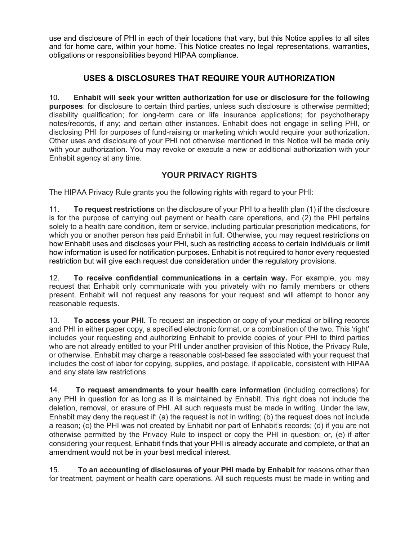use and disclosure of PHI in each of their locations that vary, but this Notice applies to all sites and for home care, within your home. This Notice creates no legal representations, warranties, obligations or responsibilities beyond HIPAA compliance.

# **USES & DISCLOSURES THAT REQUIRE YOUR AUTHORIZATION**

10. **Enhabit will seek your written authorization for use or disclosure for the following purposes**: for disclosure to certain third parties, unless such disclosure is otherwise permitted; disability qualification; for long-term care or life insurance applications; for psychotherapy notes/records, if any; and certain other instances. Enhabit does not engage in selling PHI, or disclosing PHI for purposes of fund-raising or marketing which would require your authorization. Other uses and disclosure of your PHI not otherwise mentioned in this Notice will be made only with your authorization. You may revoke or execute a new or additional authorization with your Enhabit agency at any time.

## **YOUR PRIVACY RIGHTS**

The HIPAA Privacy Rule grants you the following rights with regard to your PHI:

11. **To request restrictions** on the disclosure of your PHI to a health plan (1) if the disclosure is for the purpose of carrying out payment or health care operations, and (2) the PHI pertains solely to a health care condition, item or service, including particular prescription medications, for which you or another person has paid Enhabit in full. Otherwise, you may request restrictions on how Enhabit uses and discloses your PHI, such as restricting access to certain individuals or limit how information is used for notification purposes. Enhabit is not required to honor every requested restriction but will give each request due consideration under the regulatory provisions.

12. **To receive confidential communications in a certain way.** For example, you may request that Enhabit only communicate with you privately with no family members or others present. Enhabit will not request any reasons for your request and will attempt to honor any reasonable requests.

13. **To access your PHI.** To request an inspection or copy of your medical or billing records and PHI in either paper copy, a specified electronic format, or a combination of the two. This 'right' includes your requesting and authorizing Enhabit to provide copies of your PHI to third parties who are not already entitled to your PHI under another provision of this Notice, the Privacy Rule, or otherwise. Enhabit may charge a reasonable cost-based fee associated with your request that includes the cost of labor for copying, supplies, and postage, if applicable, consistent with HIPAA and any state law restrictions.

14. **To request amendments to your health care information** (including corrections) for any PHI in question for as long as it is maintained by Enhabit. This right does not include the deletion, removal, or erasure of PHI. All such requests must be made in writing. Under the law, Enhabit may deny the request if: (a) the request is not in writing; (b) the request does not include a reason; (c) the PHI was not created by Enhabit nor part of Enhabit's records; (d) if you are not otherwise permitted by the Privacy Rule to inspect or copy the PHI in question; or, (e) if after considering your request, Enhabit finds that your PHI is already accurate and complete, or that an amendment would not be in your best medical interest.

15. **To an accounting of disclosures of your PHI made by Enhabit** for reasons other than for treatment, payment or health care operations. All such requests must be made in writing and